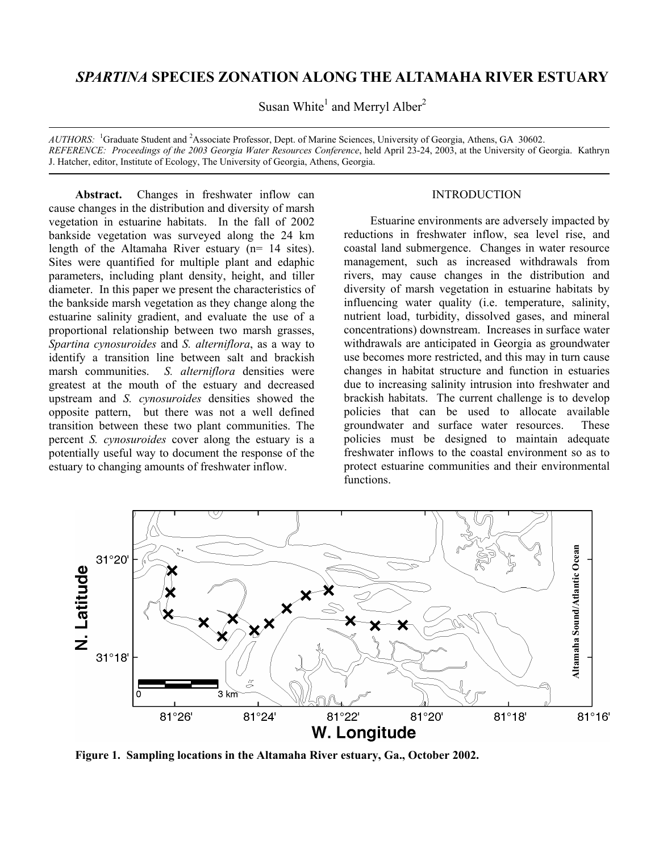# *SPARTINA* **SPECIES ZONATION ALONG THE ALTAMAHA RIVER ESTUARY**

Susan White<sup>1</sup> and Merryl Alber<sup>2</sup>

*AUTHORS:* <sup>1</sup> Graduate Student and <sup>2</sup> Associate Professor, Dept. of Marine Sciences, University of Georgia, Athens, GA 30602. *REFERENCE: Proceedings of the 2003 Georgia Water Resources Conference*, held April 23-24, 2003, at the University of Georgia. Kathryn J. Hatcher, editor, Institute of Ecology, The University of Georgia, Athens, Georgia.

**Abstract.** Changes in freshwater inflow can cause changes in the distribution and diversity of marsh vegetation in estuarine habitats. In the fall of 2002 bankside vegetation was surveyed along the 24 km length of the Altamaha River estuary (n= 14 sites). Sites were quantified for multiple plant and edaphic parameters, including plant density, height, and tiller diameter. In this paper we present the characteristics of the bankside marsh vegetation as they change along the estuarine salinity gradient, and evaluate the use of a proportional relationship between two marsh grasses, *Spartina cynosuroides* and *S. alterniflora*, as a way to identify a transition line between salt and brackish marsh communities. *S. alterniflora* densities were greatest at the mouth of the estuary and decreased upstream and *S. cynosuroides* densities showed the opposite pattern, but there was not a well defined transition between these two plant communities. The percent *S. cynosuroides* cover along the estuary is a potentially useful way to document the response of the estuary to changing amounts of freshwater inflow.

## **INTRODUCTION**

Estuarine environments are adversely impacted by reductions in freshwater inflow, sea level rise, and coastal land submergence. Changes in water resource management, such as increased withdrawals from rivers, may cause changes in the distribution and diversity of marsh vegetation in estuarine habitats by influencing water quality (i.e. temperature, salinity, nutrient load, turbidity, dissolved gases, and mineral concentrations) downstream. Increases in surface water withdrawals are anticipated in Georgia as groundwater use becomes more restricted, and this may in turn cause changes in habitat structure and function in estuaries due to increasing salinity intrusion into freshwater and brackish habitats. The current challenge is to develop policies that can be used to allocate available groundwater and surface water resources. These policies must be designed to maintain adequate freshwater inflows to the coastal environment so as to protect estuarine communities and their environmental functions.



**Figure 1. Sampling locations in the Altamaha River estuary, Ga., October 2002.**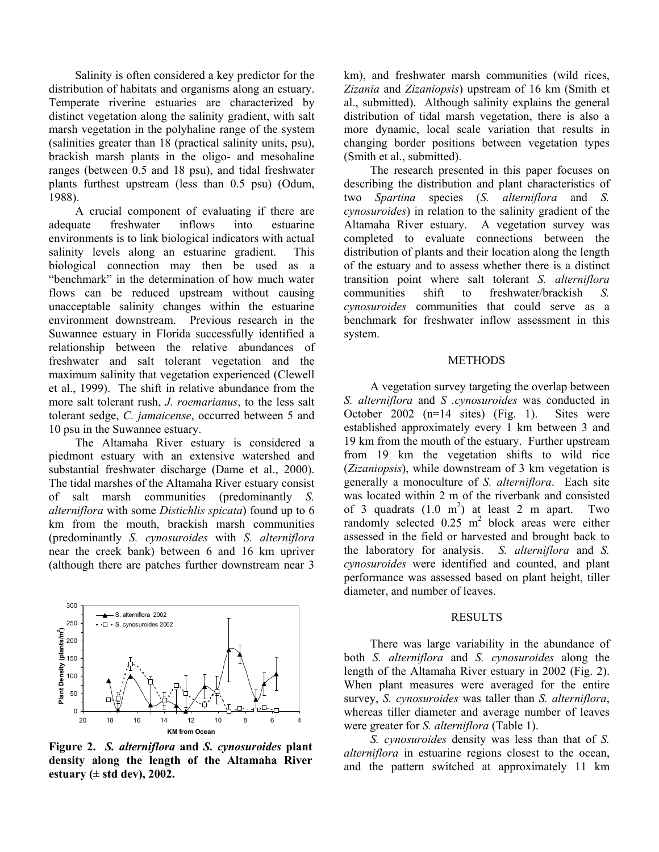Salinity is often considered a key predictor for the distribution of habitats and organisms along an estuary. Temperate riverine estuaries are characterized by distinct vegetation along the salinity gradient, with salt marsh vegetation in the polyhaline range of the system (salinities greater than 18 (practical salinity units, psu), brackish marsh plants in the oligo- and mesohaline ranges (between 0.5 and 18 psu), and tidal freshwater plants furthest upstream (less than 0.5 psu) (Odum, 1988).

A crucial component of evaluating if there are adequate freshwater inflows into estuarine environments is to link biological indicators with actual salinity levels along an estuarine gradient. This biological connection may then be used as a "benchmark" in the determination of how much water flows can be reduced upstream without causing unacceptable salinity changes within the estuarine environment downstream. Previous research in the Suwannee estuary in Florida successfully identified a relationship between the relative abundances of freshwater and salt tolerant vegetation and the maximum salinity that vegetation experienced (Clewell et al., 1999). The shift in relative abundance from the more salt tolerant rush, *J. roemarianus*, to the less salt tolerant sedge, *C. jamaicense*, occurred between 5 and 10 psu in the Suwannee estuary.

The Altamaha River estuary is considered a piedmont estuary with an extensive watershed and substantial freshwater discharge (Dame et al., 2000). The tidal marshes of the Altamaha River estuary consist of salt marsh communities (predominantly *S. alterniflora* with some *Distichlis spicata*) found up to 6 km from the mouth, brackish marsh communities (predominantly *S. cynosuroides* with *S. alterniflora* near the creek bank) between 6 and 16 km upriver (although there are patches further downstream near 3



**Figure 2.** *S. alterniflora* **and** *S. cynosuroides* **plant density along the length of the Altamaha River estuary (± std dev), 2002.** 

km), and freshwater marsh communities (wild rices, *Zizania* and *Zizaniopsis*) upstream of 16 km (Smith et al., submitted). Although salinity explains the general distribution of tidal marsh vegetation, there is also a more dynamic, local scale variation that results in changing border positions between vegetation types (Smith et al., submitted).

The research presented in this paper focuses on describing the distribution and plant characteristics of two *Spartina* species (*S. alterniflora* and *S. cynosuroides*) in relation to the salinity gradient of the Altamaha River estuary. A vegetation survey was completed to evaluate connections between the distribution of plants and their location along the length of the estuary and to assess whether there is a distinct transition point where salt tolerant *S. alterniflora* communities shift to freshwater/brackish *S. cynosuroides* communities that could serve as a benchmark for freshwater inflow assessment in this system.

#### **METHODS**

A vegetation survey targeting the overlap between *S. alterniflora* and *S .cynosuroides* was conducted in October 2002 (n=14 sites) (Fig. 1). Sites were established approximately every 1 km between 3 and 19 km from the mouth of the estuary. Further upstream from 19 km the vegetation shifts to wild rice (*Zizaniopsis*), while downstream of 3 km vegetation is generally a monoculture of *S. alterniflora*. Each site was located within 2 m of the riverbank and consisted of 3 quadrats  $(1.0 \text{ m}^2)$  at least 2 m apart. Two randomly selected  $0.25 \text{ m}^2$  block areas were either assessed in the field or harvested and brought back to the laboratory for analysis. *S. alterniflora* and *S. cynosuroides* were identified and counted, and plant performance was assessed based on plant height, tiller diameter, and number of leaves.

### RESULTS

There was large variability in the abundance of both *S. alterniflora* and *S. cynosuroides* along the length of the Altamaha River estuary in 2002 (Fig. 2). When plant measures were averaged for the entire survey, *S. cynosuroides* was taller than *S. alterniflora*, whereas tiller diameter and average number of leaves were greater for *S. alterniflora* (Table 1).

*S. cynosuroides* density was less than that of *S. alterniflora* in estuarine regions closest to the ocean, and the pattern switched at approximately 11 km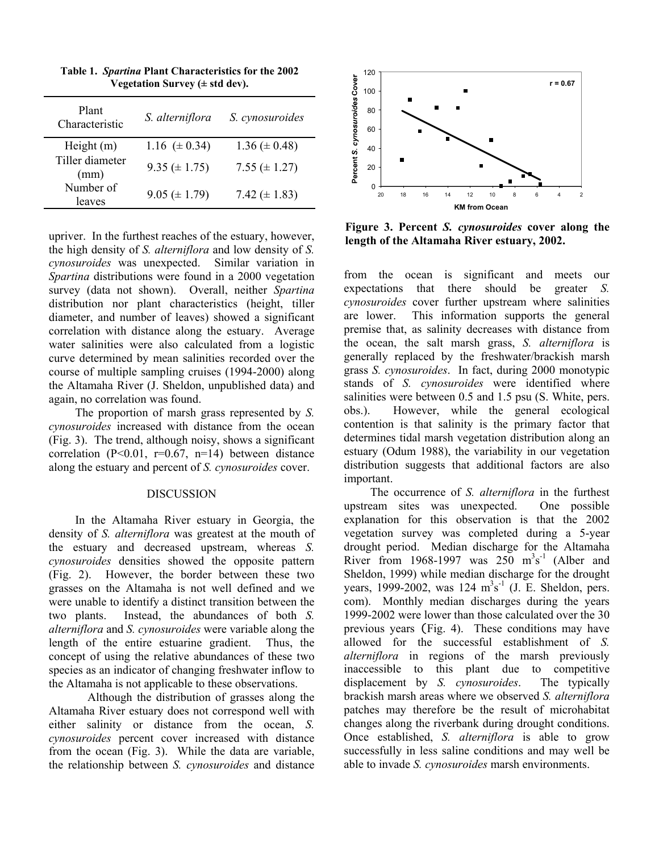| S. cynosuroides     |
|---------------------|
| $1.36 \ (\pm 0.48)$ |
| 7.55 ( $\pm$ 1.27)  |
| 7.42 ( $\pm$ 1.83)  |
|                     |

**Table 1.** *Spartina* **Plant Characteristics for the 2002 Vegetation Survey (± std dev).** 

upriver. In the furthest reaches of the estuary, however, the high density of *S. alterniflora* and low density of *S. cynosuroides* was unexpected. Similar variation in *Spartina* distributions were found in a 2000 vegetation survey (data not shown). Overall, neither *Spartina* distribution nor plant characteristics (height, tiller diameter, and number of leaves) showed a significant correlation with distance along the estuary. Average water salinities were also calculated from a logistic curve determined by mean salinities recorded over the course of multiple sampling cruises (1994-2000) along the Altamaha River (J. Sheldon, unpublished data) and again, no correlation was found.

The proportion of marsh grass represented by *S. cynosuroides* increased with distance from the ocean (Fig. 3). The trend, although noisy, shows a significant correlation ( $P<0.01$ ,  $r=0.67$ ,  $n=14$ ) between distance along the estuary and percent of *S. cynosuroides* cover.

#### DISCUSSION

In the Altamaha River estuary in Georgia, the density of *S. alterniflora* was greatest at the mouth of the estuary and decreased upstream, whereas *S. cynosuroides* densities showed the opposite pattern (Fig. 2). However, the border between these two grasses on the Altamaha is not well defined and we were unable to identify a distinct transition between the two plants. Instead, the abundances of both *S. alterniflora* and *S. cynosuroides* were variable along the length of the entire estuarine gradient. Thus, the concept of using the relative abundances of these two species as an indicator of changing freshwater inflow to the Altamaha is not applicable to these observations.

Although the distribution of grasses along the Altamaha River estuary does not correspond well with either salinity or distance from the ocean, *S. cynosuroides* percent cover increased with distance from the ocean (Fig. 3). While the data are variable, the relationship between *S. cynosuroides* and distance



**Figure 3. Percent** *S. cynosuroides* **cover along the length of the Altamaha River estuary, 2002.** 

from the ocean is significant and meets our expectations that there should be greater *S. cynosuroides* cover further upstream where salinities are lower. This information supports the general premise that, as salinity decreases with distance from the ocean, the salt marsh grass, *S. alterniflora* is generally replaced by the freshwater/brackish marsh grass *S. cynosuroides*. In fact, during 2000 monotypic stands of *S. cynosuroides* were identified where salinities were between 0.5 and 1.5 psu (S. White, pers. obs.). However, while the general ecological contention is that salinity is the primary factor that determines tidal marsh vegetation distribution along an estuary (Odum 1988), the variability in our vegetation distribution suggests that additional factors are also important.

The occurrence of *S. alterniflora* in the furthest upstream sites was unexpected. One possible explanation for this observation is that the 2002 vegetation survey was completed during a 5-year drought period. Median discharge for the Altamaha River from 1968-1997 was  $250 \text{ m}^3\text{s}^{-1}$  (Alber and Sheldon, 1999) while median discharge for the drought years, 1999-2002, was  $124 \text{ m}^3\text{s}^{-1}$  (J. E. Sheldon, pers. com). Monthly median discharges during the years 1999-2002 were lower than those calculated over the 30 previous years (Fig. 4). These conditions may have allowed for the successful establishment of *S. alterniflora* in regions of the marsh previously inaccessible to this plant due to competitive displacement by *S. cynosuroides*. The typically brackish marsh areas where we observed *S. alterniflora* patches may therefore be the result of microhabitat changes along the riverbank during drought conditions. Once established, *S. alterniflora* is able to grow successfully in less saline conditions and may well be able to invade *S. cynosuroides* marsh environments.